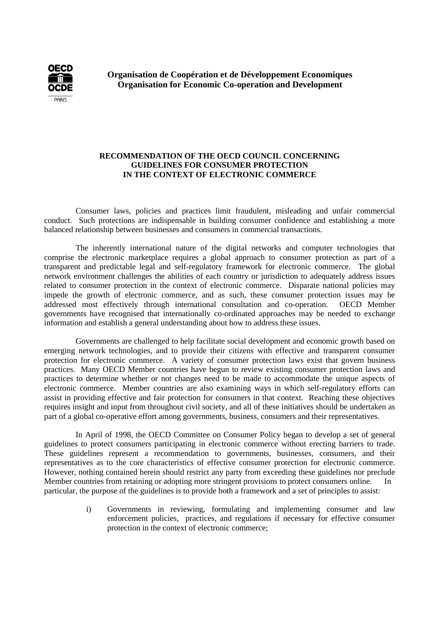

**Organisation de Coopération et de Développement Economiques Organisation for Economic Co-operation and Development**

### **RECOMMENDATION OF THE OECD COUNCIL CONCERNING GUIDELINES FOR CONSUMER PROTECTION IN THE CONTEXT OF ELECTRONIC COMMERCE**

Consumer laws, policies and practices limit fraudulent, misleading and unfair commercial conduct. Such protections are indispensable in building consumer confidence and establishing a more balanced relationship between businesses and consumers in commercial transactions.

The inherently international nature of the digital networks and computer technologies that comprise the electronic marketplace requires a global approach to consumer protection as part of a transparent and predictable legal and self-regulatory framework for electronic commerce. The global network environment challenges the abilities of each country or jurisdiction to adequately address issues related to consumer protection in the context of electronic commerce. Disparate national policies may impede the growth of electronic commerce, and as such, these consumer protection issues may be addressed most effectively through international consultation and co-operation. OECD Member governments have recognised that internationally co-ordinated approaches may be needed to exchange information and establish a general understanding about how to address these issues.

Governments are challenged to help facilitate social development and economic growth based on emerging network technologies, and to provide their citizens with effective and transparent consumer protection for electronic commerce. A variety of consumer protection laws exist that govern business practices. Many OECD Member countries have begun to review existing consumer protection laws and practices to determine whether or not changes need to be made to accommodate the unique aspects of electronic commerce. Member countries are also examining ways in which self-regulatory efforts can assist in providing effective and fair protection for consumers in that context. Reaching these objectives requires insight and input from throughout civil society, and all of these initiatives should be undertaken as part of a global co-operative effort among governments, business, consumers and their representatives.

In April of 1998, the OECD Committee on Consumer Policy began to develop a set of general guidelines to protect consumers participating in electronic commerce without erecting barriers to trade. These guidelines represent a recommendation to governments, businesses, consumers, and their representatives as to the core characteristics of effective consumer protection for electronic commerce. However, nothing contained herein should restrict any party from exceeding these guidelines nor preclude Member countries from retaining or adopting more stringent provisions to protect consumers online. In particular, the purpose of the guidelines is to provide both a framework and a set of principles to assist:

> i) Governments in reviewing, formulating and implementing consumer and law enforcement policies, practices, and regulations if necessary for effective consumer protection in the context of electronic commerce;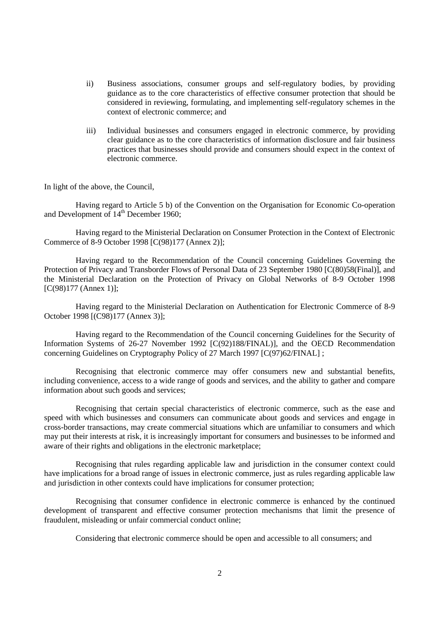- ii) Business associations, consumer groups and self-regulatory bodies, by providing guidance as to the core characteristics of effective consumer protection that should be considered in reviewing, formulating, and implementing self-regulatory schemes in the context of electronic commerce; and
- iii) Individual businesses and consumers engaged in electronic commerce, by providing clear guidance as to the core characteristics of information disclosure and fair business practices that businesses should provide and consumers should expect in the context of electronic commerce.

In light of the above, the Council,

Having regard to Article 5 b) of the Convention on the Organisation for Economic Co-operation and Development of 14<sup>th</sup> December 1960;

Having regard to the Ministerial Declaration on Consumer Protection in the Context of Electronic Commerce of 8-9 October 1998 [C(98)177 (Annex 2)];

Having regard to the Recommendation of the Council concerning Guidelines Governing the Protection of Privacy and Transborder Flows of Personal Data of 23 September 1980 [C(80)58(Final)], and the Ministerial Declaration on the Protection of Privacy on Global Networks of 8-9 October 1998 [C(98)177 (Annex 1)];

Having regard to the Ministerial Declaration on Authentication for Electronic Commerce of 8-9 October 1998 [(C98)177 (Annex 3)];

Having regard to the Recommendation of the Council concerning Guidelines for the Security of Information Systems of 26-27 November 1992 [C(92)188/FINAL)], and the OECD Recommendation concerning Guidelines on Cryptography Policy of 27 March 1997 [C(97)62/FINAL] ;

Recognising that electronic commerce may offer consumers new and substantial benefits, including convenience, access to a wide range of goods and services, and the ability to gather and compare information about such goods and services;

Recognising that certain special characteristics of electronic commerce, such as the ease and speed with which businesses and consumers can communicate about goods and services and engage in cross-border transactions, may create commercial situations which are unfamiliar to consumers and which may put their interests at risk, it is increasingly important for consumers and businesses to be informed and aware of their rights and obligations in the electronic marketplace;

Recognising that rules regarding applicable law and jurisdiction in the consumer context could have implications for a broad range of issues in electronic commerce, just as rules regarding applicable law and jurisdiction in other contexts could have implications for consumer protection;

Recognising that consumer confidence in electronic commerce is enhanced by the continued development of transparent and effective consumer protection mechanisms that limit the presence of fraudulent, misleading or unfair commercial conduct online;

Considering that electronic commerce should be open and accessible to all consumers; and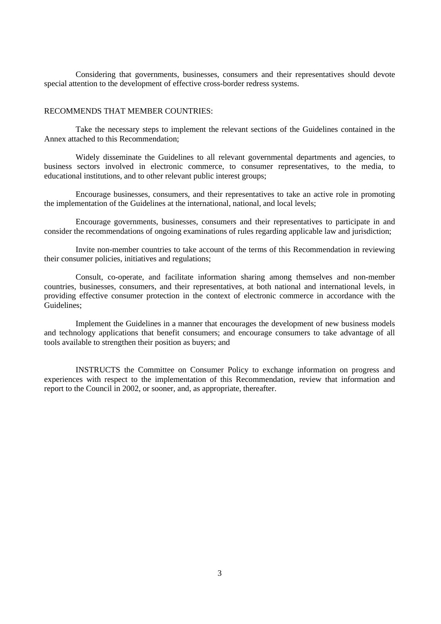Considering that governments, businesses, consumers and their representatives should devote special attention to the development of effective cross-border redress systems.

#### RECOMMENDS THAT MEMBER COUNTRIES:

Take the necessary steps to implement the relevant sections of the Guidelines contained in the Annex attached to this Recommendation;

Widely disseminate the Guidelines to all relevant governmental departments and agencies, to business sectors involved in electronic commerce, to consumer representatives, to the media, to educational institutions, and to other relevant public interest groups;

Encourage businesses, consumers, and their representatives to take an active role in promoting the implementation of the Guidelines at the international, national, and local levels;

Encourage governments, businesses, consumers and their representatives to participate in and consider the recommendations of ongoing examinations of rules regarding applicable law and jurisdiction;

Invite non-member countries to take account of the terms of this Recommendation in reviewing their consumer policies, initiatives and regulations;

Consult, co-operate, and facilitate information sharing among themselves and non-member countries, businesses, consumers, and their representatives, at both national and international levels, in providing effective consumer protection in the context of electronic commerce in accordance with the Guidelines;

Implement the Guidelines in a manner that encourages the development of new business models and technology applications that benefit consumers; and encourage consumers to take advantage of all tools available to strengthen their position as buyers; and

INSTRUCTS the Committee on Consumer Policy to exchange information on progress and experiences with respect to the implementation of this Recommendation, review that information and report to the Council in 2002, or sooner, and, as appropriate, thereafter.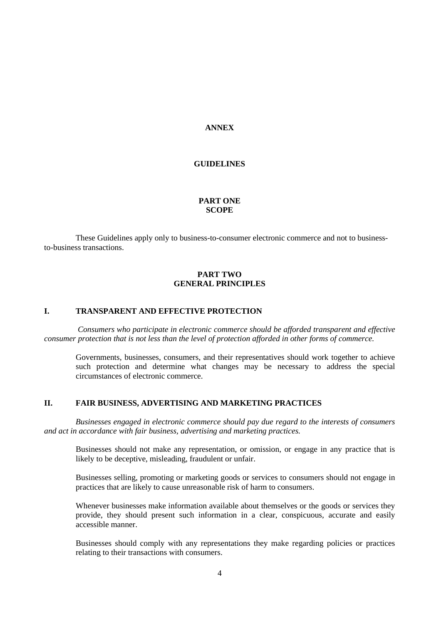#### **ANNEX**

#### **GUIDELINES**

# **PART ONE SCOPE**

These Guidelines apply only to business-to-consumer electronic commerce and not to businessto-business transactions.

#### **PART TWO GENERAL PRINCIPLES**

#### **I. TRANSPARENT AND EFFECTIVE PROTECTION**

*Consumers who participate in electronic commerce should be afforded transparent and effective consumer protection that is not less than the level of protection afforded in other forms of commerce.*

Governments, businesses, consumers, and their representatives should work together to achieve such protection and determine what changes may be necessary to address the special circumstances of electronic commerce.

#### **II. FAIR BUSINESS, ADVERTISING AND MARKETING PRACTICES**

*Businesses engaged in electronic commerce should pay due regard to the interests of consumers and act in accordance with fair business, advertising and marketing practices.*

Businesses should not make any representation, or omission, or engage in any practice that is likely to be deceptive, misleading, fraudulent or unfair.

Businesses selling, promoting or marketing goods or services to consumers should not engage in practices that are likely to cause unreasonable risk of harm to consumers.

Whenever businesses make information available about themselves or the goods or services they provide, they should present such information in a clear, conspicuous, accurate and easily accessible manner.

Businesses should comply with any representations they make regarding policies or practices relating to their transactions with consumers.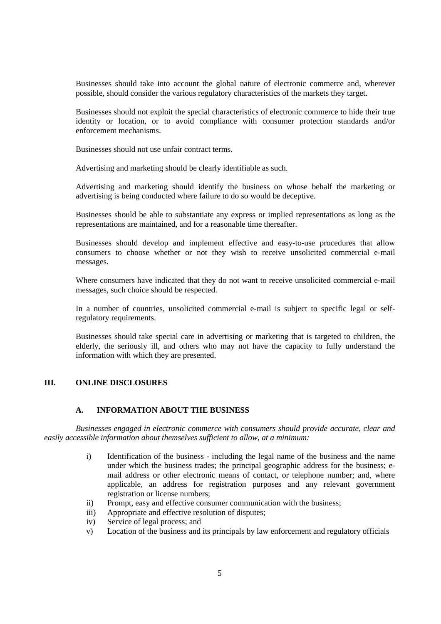Businesses should take into account the global nature of electronic commerce and, wherever possible, should consider the various regulatory characteristics of the markets they target.

Businesses should not exploit the special characteristics of electronic commerce to hide their true identity or location, or to avoid compliance with consumer protection standards and/or enforcement mechanisms.

Businesses should not use unfair contract terms.

Advertising and marketing should be clearly identifiable as such.

Advertising and marketing should identify the business on whose behalf the marketing or advertising is being conducted where failure to do so would be deceptive.

Businesses should be able to substantiate any express or implied representations as long as the representations are maintained, and for a reasonable time thereafter.

Businesses should develop and implement effective and easy-to-use procedures that allow consumers to choose whether or not they wish to receive unsolicited commercial e-mail messages.

Where consumers have indicated that they do not want to receive unsolicited commercial e-mail messages, such choice should be respected.

In a number of countries, unsolicited commercial e-mail is subject to specific legal or selfregulatory requirements.

Businesses should take special care in advertising or marketing that is targeted to children, the elderly, the seriously ill, and others who may not have the capacity to fully understand the information with which they are presented.

#### **III. ONLINE DISCLOSURES**

### **A. INFORMATION ABOUT THE BUSINESS**

*Businesses engaged in electronic commerce with consumers should provide accurate, clear and easily accessible information about themselves sufficient to allow, at a minimum:*

- i) Identification of the business including the legal name of the business and the name under which the business trades; the principal geographic address for the business; email address or other electronic means of contact, or telephone number; and, where applicable, an address for registration purposes and any relevant government registration or license numbers;
- ii) Prompt, easy and effective consumer communication with the business;
- iii) Appropriate and effective resolution of disputes;
- iv) Service of legal process; and
- v) Location of the business and its principals by law enforcement and regulatory officials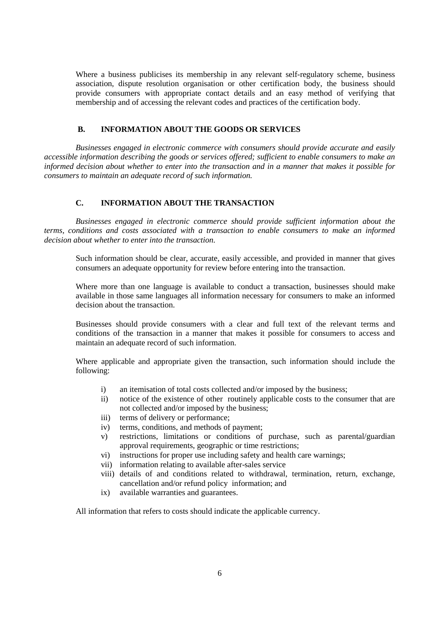Where a business publicises its membership in any relevant self-regulatory scheme, business association, dispute resolution organisation or other certification body, the business should provide consumers with appropriate contact details and an easy method of verifying that membership and of accessing the relevant codes and practices of the certification body.

### **B. INFORMATION ABOUT THE GOODS OR SERVICES**

*Businesses engaged in electronic commerce with consumers should provide accurate and easily accessible information describing the goods or services offered; sufficient to enable consumers to make an informed decision about whether to enter into the transaction and in a manner that makes it possible for consumers to maintain an adequate record of such information.*

#### **C. INFORMATION ABOUT THE TRANSACTION**

*Businesses engaged in electronic commerce should provide sufficient information about the terms, conditions and costs associated with a transaction to enable consumers to make an informed decision about whether to enter into the transaction.*

Such information should be clear, accurate, easily accessible, and provided in manner that gives consumers an adequate opportunity for review before entering into the transaction.

Where more than one language is available to conduct a transaction, businesses should make available in those same languages all information necessary for consumers to make an informed decision about the transaction.

Businesses should provide consumers with a clear and full text of the relevant terms and conditions of the transaction in a manner that makes it possible for consumers to access and maintain an adequate record of such information.

Where applicable and appropriate given the transaction, such information should include the following:

- i) an itemisation of total costs collected and/or imposed by the business;
- ii) notice of the existence of other routinely applicable costs to the consumer that are not collected and/or imposed by the business;
- iii) terms of delivery or performance;
- iv) terms, conditions, and methods of payment;
- v) restrictions, limitations or conditions of purchase, such as parental/guardian approval requirements, geographic or time restrictions;
- vi) instructions for proper use including safety and health care warnings;
- vii) information relating to available after-sales service
- viii) details of and conditions related to withdrawal, termination, return, exchange, cancellation and/or refund policy information; and
- ix) available warranties and guarantees.

All information that refers to costs should indicate the applicable currency.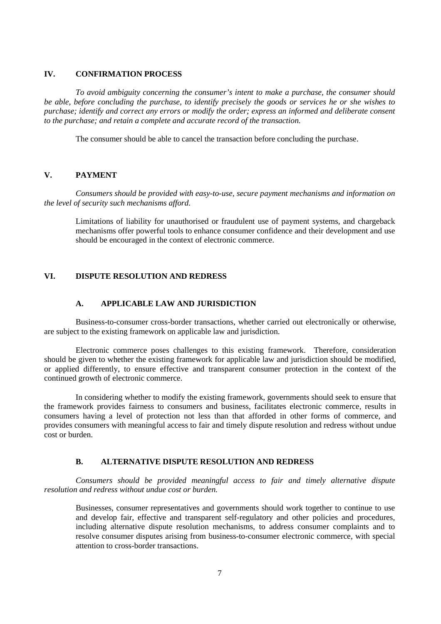# **IV. CONFIRMATION PROCESS**

*To avoid ambiguity concerning the consumer's intent to make a purchase, the consumer should be able, before concluding the purchase, to identify precisely the goods or services he or she wishes to purchase; identify and correct any errors or modify the order; express an informed and deliberate consent to the purchase; and retain a complete and accurate record of the transaction.*

The consumer should be able to cancel the transaction before concluding the purchase.

## **V. PAYMENT**

*Consumers should be provided with easy-to-use, secure payment mechanisms and information on the level of security such mechanisms afford.*

Limitations of liability for unauthorised or fraudulent use of payment systems, and chargeback mechanisms offer powerful tools to enhance consumer confidence and their development and use should be encouraged in the context of electronic commerce.

### **VI. DISPUTE RESOLUTION AND REDRESS**

#### **A. APPLICABLE LAW AND JURISDICTION**

Business-to-consumer cross-border transactions, whether carried out electronically or otherwise, are subject to the existing framework on applicable law and jurisdiction.

Electronic commerce poses challenges to this existing framework. Therefore, consideration should be given to whether the existing framework for applicable law and jurisdiction should be modified, or applied differently, to ensure effective and transparent consumer protection in the context of the continued growth of electronic commerce.

In considering whether to modify the existing framework, governments should seek to ensure that the framework provides fairness to consumers and business, facilitates electronic commerce, results in consumers having a level of protection not less than that afforded in other forms of commerce, and provides consumers with meaningful access to fair and timely dispute resolution and redress without undue cost or burden.

#### **B. ALTERNATIVE DISPUTE RESOLUTION AND REDRESS**

*Consumers should be provided meaningful access to fair and timely alternative dispute resolution and redress without undue cost or burden.*

Businesses, consumer representatives and governments should work together to continue to use and develop fair, effective and transparent self-regulatory and other policies and procedures, including alternative dispute resolution mechanisms, to address consumer complaints and to resolve consumer disputes arising from business-to-consumer electronic commerce, with special attention to cross-border transactions.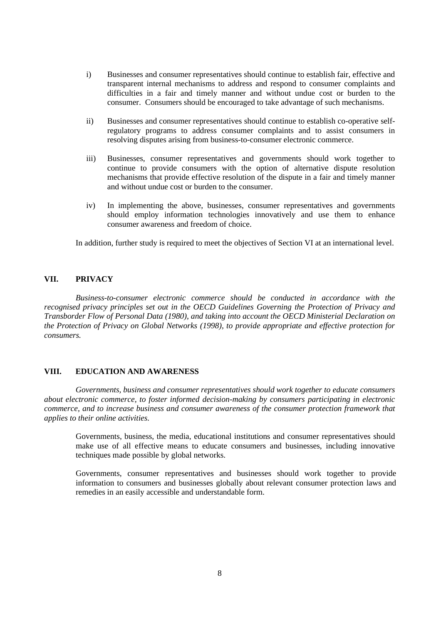- i) Businesses and consumer representatives should continue to establish fair, effective and transparent internal mechanisms to address and respond to consumer complaints and difficulties in a fair and timely manner and without undue cost or burden to the consumer. Consumers should be encouraged to take advantage of such mechanisms.
- ii) Businesses and consumer representatives should continue to establish co-operative selfregulatory programs to address consumer complaints and to assist consumers in resolving disputes arising from business-to-consumer electronic commerce.
- iii) Businesses, consumer representatives and governments should work together to continue to provide consumers with the option of alternative dispute resolution mechanisms that provide effective resolution of the dispute in a fair and timely manner and without undue cost or burden to the consumer.
- iv) In implementing the above, businesses, consumer representatives and governments should employ information technologies innovatively and use them to enhance consumer awareness and freedom of choice.

In addition, further study is required to meet the objectives of Section VI at an international level.

### **VII. PRIVACY**

*Business-to-consumer electronic commerce should be conducted in accordance with the recognised privacy principles set out in the OECD Guidelines Governing the Protection of Privacy and Transborder Flow of Personal Data (1980), and taking into account the OECD Ministerial Declaration on the Protection of Privacy on Global Networks (1998), to provide appropriate and effective protection for consumers.*

#### **VIII. EDUCATION AND AWARENESS**

*Governments, business and consumer representatives should work together to educate consumers about electronic commerce, to foster informed decision-making by consumers participating in electronic commerce, and to increase business and consumer awareness of the consumer protection framework that applies to their online activities.*

Governments, business, the media, educational institutions and consumer representatives should make use of all effective means to educate consumers and businesses, including innovative techniques made possible by global networks.

Governments, consumer representatives and businesses should work together to provide information to consumers and businesses globally about relevant consumer protection laws and remedies in an easily accessible and understandable form.